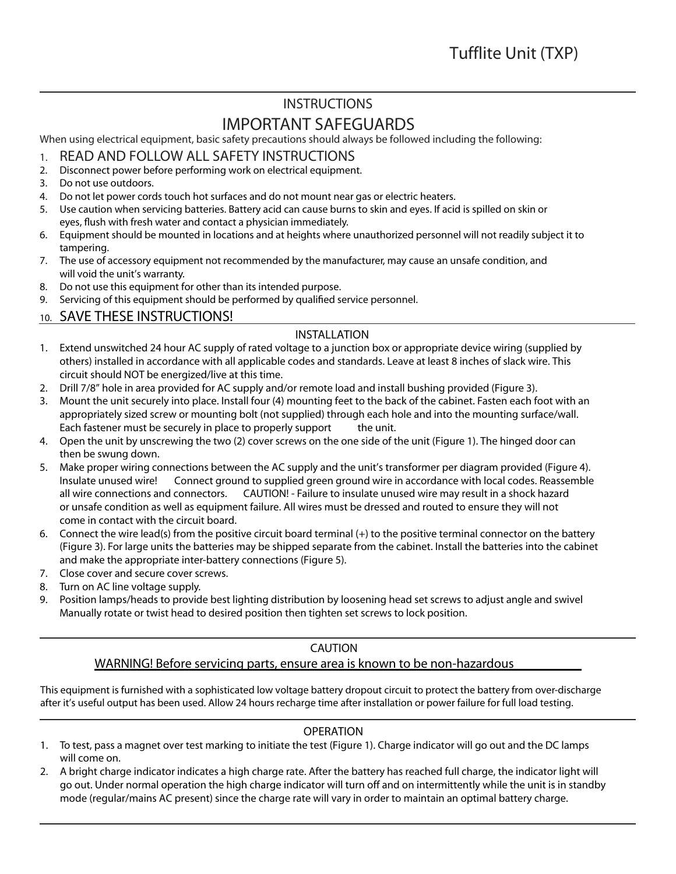## **INSTRUCTIONS**

# **IMPORTANT SAFEGUARDS**

When using electrical equipment, basic safety precautions should always be followed including the following:

- 1. **READ AND FOLLOW ALL SAFETY INSTRUCTIONS**
- 2. Disconnect power before performing work on electrical equipment.
- 3. Do not use outdoors.
- 4. Do not let power cords touch hot surfaces and do not mount near gas or electric heaters.
- 5. Use caution when servicing batteries. Battery acid can cause burns to skin and eyes. If acid is spilled on skin or eyes, flush with fresh water and contact a physician immediately.
- 6. Equipment should be mounted in locations and at heights where unauthorized personnel will not readily subject it to tampering.
- 7. The use of accessory equipment not recommended by the manufacturer, may cause an unsafe condition, and will void the unit's warranty.
- 8. Do not use this equipment for other than its intended purpose.
- 9. Servicing of this equipment should be performed by qualified service personnel.

### 10. **SAVE THESE INSTRUCTIONS!**

### **INSTALLATION**

- 1. Extend unswitched 24 hour AC supply of rated voltage to a junction box or appropriate device wiring (supplied by others) installed in accordance with all applicable codes and standards. Leave at least 8 inches of slack wire. This circuit should NOT be energized/live at this time.
- 2. Drill 7/8" hole in area provided for AC supply and/or remote load and install bushing provided (Figure 3).
- 3. Mount the unit securely into place. Install four (4) mounting feet to the back of the cabinet. Fasten each foot with an appropriately sized screw or mounting bolt (not supplied) through each hole and into the mounting surface/wall. Each fastener must be securely in place to properly support the unit.
- 4. Open the unit by unscrewing the two (2) cover screws on the one side of the unit (Figure 1). The hinged door can then be swung down.
- 5. Make proper wiring connections between the AC supply and the unit's transformer per diagram provided (Figure 4). **Insulate unused wire!** Connect ground to supplied green ground wire in accordance with local codes. Reassemble all wire connections and connectors. **CAUTION! - Failure to insulate unused wire may result in a shock hazard or unsafe condition as well as equipment failure. All wires must be dressed and routed to ensure they will not come in contact with the circuit board.**
- 6. Connect the wire lead(s) from the positive circuit board terminal (+) to the positive terminal connector on the battery (Figure 3). For large units the batteries may be shipped separate from the cabinet. Install the batteries into the cabinet and make the appropriate inter-battery connections (Figure 5).
- 7. Close cover and secure cover screws.
- 8. Turn on AC line voltage supply.
- 9. Position lamps/heads to provide best lighting distribution by loosening head set screws to adjust angle and swivel Manually rotate or twist head to desired position then tighten set screws to lock position.

### **CAUTION**

### **WARNING! Before servicing parts, ensure area is known to be non-hazardous**

This equipment is furnished with a sophisticated low voltage battery dropout circuit to protect the battery from over-discharge after it's useful output has been used. Allow 24 hours recharge time after installation or power failure for full load testing.

### **OPERATION**

- 1. To test, pass a magnet over test marking to initiate the test (Figure 1). Charge indicator will go out and the DC lamps will come on.
- 2. A bright charge indicator indicates a high charge rate. After the battery has reached full charge, the indicator light will go out. Under normal operation the high charge indicator will turn off and on intermittently while the unit is in standby mode (regular/mains AC present) since the charge rate will vary in order to maintain an optimal battery charge.